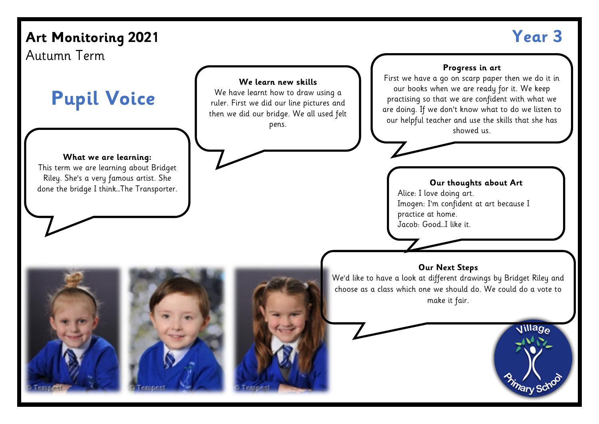